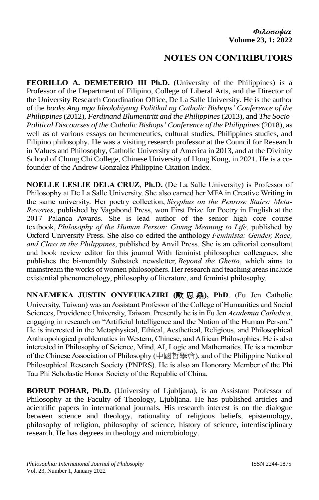## **NOTES ON CONTRIBUTORS**

**FEORILLO A. DEMETERIO III Ph.D.** (University of the Philippines) is a Professor of the Department of Filipino, College of Liberal Arts, and the Director of the University Research Coordination Office, De La Salle University. He is the author of the *books Ang mga Ideolohiyang Politikal ng Catholic Bishops' Conference of the Philippines* (2012), *Ferdinand Blumentritt and the Philippines* (2013), and *The Socio-Political Discourses of the Catholic Bishops' Conference of the Philippines* (2018), as well as of various essays on hermeneutics, cultural studies, Philippines studies, and Filipino philosophy. He was a visiting research professor at the Council for Research in Values and Philosophy, Catholic University of America in 2013, and at the Divinity School of Chung Chi College, Chinese University of Hong Kong, in 2021. He is a cofounder of the Andrew Gonzalez Philippine Citation Index.

**NOELLE LESLIE DELA CRUZ**, **Ph.D.** (De La Salle University) is Professor of Philosophy at De La Salle University. She also earned her MFA in Creative Writing in the same university. Her poetry collection, *Sisyphus on the Penrose Stairs: Meta-Reveries*, published by Vagabond Press, won First Prize for Poetry in English at the 2017 Palanca Awards. She is lead author of the senior high core course textbook, *Philosophy of the Human Person: Giving Meaning to Life*, published by Oxford University Press. She also co-edited the anthology *Feminista: Gender, Race, and Class in the Philippines*, published by Anvil Press. She is an editorial consultant and book review editor for this journal With feminist philosopher colleagues, she publishes the bi-monthly Substack newsletter, *Beyond the Ghetto*, which aims to mainstream the works of women philosophers. Her research and teaching areas include existential phenomenology, philosophy of literature, and feminist philosophy.

**NNAEMEKA JUSTIN ONYEUKAZIRI (**歐思鼎**), PhD**. (Fu Jen Catholic University, Taiwan) was an Assistant Professor of the College of Humanities and Social Sciences, Providence University, Taiwan. Presently he is in Fu Jen *Academia Catholica,* engaging in research on "Artificial Intelligence and the Notion of the Human Person." He is interested in the Metaphysical, Ethical, Aesthetical, Religious, and Philosophical Anthropological problematics in Western, Chinese, and African Philosophies. He is also interested in Philosophy of Science, Mind, AI, Logic and Mathematics. He is a member of the Chinese Association of Philosophy (中國哲學會), and of the Philippine National Philosophical Research Society (PNPRS). He is also an Honorary Member of the Phi Tau Phi Scholastic Honor Society of the Republic of China.

**BORUT POHAR, Ph.D.** (University of Ljubljana), is an Assistant Professor of Philosophy at the Faculty of Theology, Ljubljana. He has published articles and acientific papers in international journals. His research interest is on the dialogue between science and theology, rationality of religious beliefs, epistemology, philosophy of religion, philosophy of science, history of science, interdisciplinary research. He has degrees in theology and microbiology.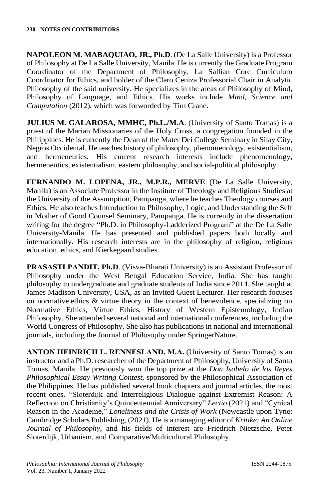**NAPOLEON M. MABAQUIAO, JR., Ph.D**. (De La Salle University) is a Professor of Philosophy at De La Salle University, Manila. He is currently the Graduate Program Coordinator of the Department of Philosophy, La Sallian Core Curriculum Coordinator for Ethics, and holder of the Claro Ceniza Professorial Chair in Analytic Philosophy of the said university. He specializes in the areas of Philosophy of Mind, Philosophy of Language, and Ethics. His works include *Mind, Science and Computation* (2012), which was forworded by Tim Crane.

**JULIUS M. GALAROSA, MMHC, Ph.L./M.A**. (University of Santo Tomas) is a priest of the Marian Missionaries of the Holy Cross, a congregation founded in the Philippines. He is currently the Dean of the Mater Dei College Seminary in Silay City, Negros Occidental. He teaches history of philosophy, phenomenology, existentialism, and hermeneutics. His current research interests include phenomenology, hermeneutics, existentialism, eastern philosophy, and social-political philosophy.

**FERNANDO M. LOPENA, JR., M.P.R., MERVE** (De La Salle University, Manila) is an Associate Professor in the Institute of Theology and Religious Studies at the University of the Assumption, Pampanga, where he teaches Theology courses and Ethics. He also teaches Introduction to Philosophy, Logic, and Understanding the Self in Mother of Good Counsel Seminary, Pampanga. He is currently in the dissertation writing for the degree "Ph.D. in Philosophy-Ladderized Program" at the De La Salle University-Manila. He has presented and published papers both locally and internationally. His research interests are in the philosophy of religion, religious education, ethics, and Kierkegaard studies.

**PRASASTI PANDIT, Ph.D**. (Visva-Bharati University) is an Assistant Professor of Philosophy under the West Bengal Education Service, India. She has taught philosophy to undergraduate and graduate students of India since 2014. She taught at James Madison University, USA, as an Invited Guest Lecturer. Her research focuses on normative ethics & virtue theory in the context of benevolence, specializing on Normative Ethics, Virtue Ethics, History of Western Epistemology, Indian Philosophy. She attended several national and international conferences, including the World Congress of Philosophy. She also has publications in national and international journals, including the Journal of Philosophy under SpringerNature.

**ANTON HEINRICH L. RENNESLAND, M.A.** (University of Santo Tomas) is an instructor and a Ph.D. researcher of the Department of Philosophy, University of Santo Tomas, Manila. He previously won the top prize at the *Don Isabelo de los Reyes Philosophical Essay Writing Contest*, sponsored by the Philosophical Association of the Philippines. He has published several book chapters and journal articles, the most recent ones, "Sloterdijk and Interreligious Dialogue against Extremist Reason: A Reflection on Christianity's Quincentennial Anniversary" *Lectio* (2021) and "Cynical Reason in the Academe," *Loneliness and the Crisis of Work* (Newcastle upon Tyne: Cambridge Scholars Publishing, (2021). He is a managing editor of *Kritike: An Online Journal of Philosophy*, and his fields of interest are Friedrich Nietzsche, Peter Sloterdijk, Urbanism, and Comparative/Multicultural Philosophy.